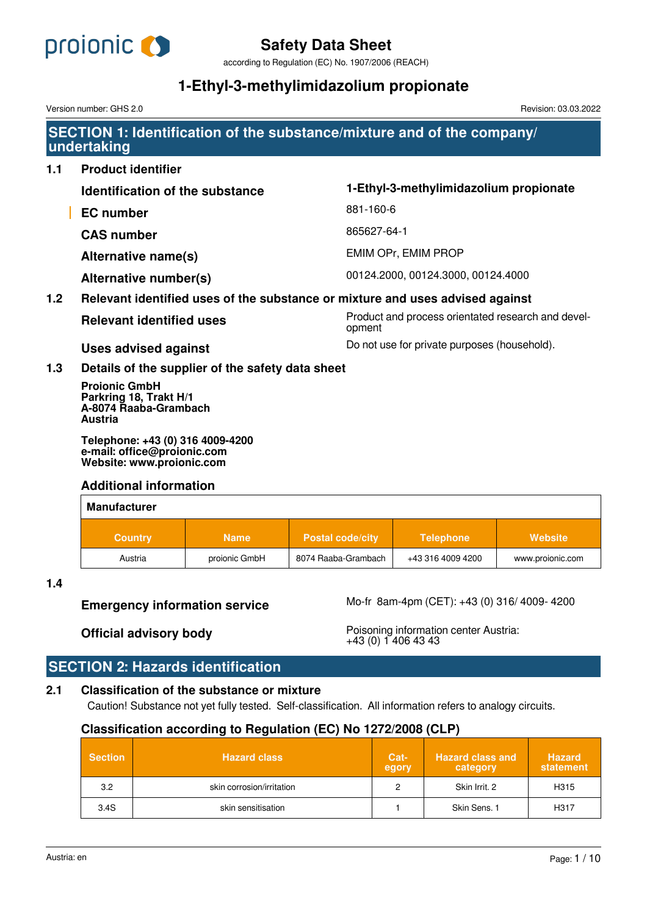

according to Regulation (EC) No. 1907/2006 (REACH)

# **1-Ethyl-3-methylimidazolium propionate**

Version number: GHS 2.0 Revision: 03.03.2022

## **SECTION 1: Identification of the substance/mixture and of the company/ undertaking**

| 1.1              | <b>Product identifier</b>                                                          |                                                              |  |  |
|------------------|------------------------------------------------------------------------------------|--------------------------------------------------------------|--|--|
|                  | Identification of the substance                                                    | 1-Ethyl-3-methylimidazolium propionate                       |  |  |
|                  | <b>EC</b> number                                                                   | 881-160-6                                                    |  |  |
|                  | <b>CAS number</b>                                                                  | 865627-64-1                                                  |  |  |
|                  | Alternative name(s)                                                                | <b>EMIM OPr, EMIM PROP</b>                                   |  |  |
|                  | Alternative number(s)                                                              | 00124.2000, 00124.3000, 00124.4000                           |  |  |
| 1.2 <sub>2</sub> | Relevant identified uses of the substance or mixture and uses advised against      |                                                              |  |  |
|                  | <b>Relevant identified uses</b>                                                    | Product and process orientated research and devel-<br>opment |  |  |
|                  | <b>Uses advised against</b>                                                        | Do not use for private purposes (household).                 |  |  |
| 1.3              | Details of the supplier of the safety data sheet                                   |                                                              |  |  |
|                  | <b>Projonic GmbH</b><br>Parkring 18, Trakt H/1<br>A-8074 Raaba-Grambach<br>Austria |                                                              |  |  |

**Telephone: +43 (0) 316 4009-4200 e-mail: office@proionic.com Website: www.proionic.com**

## **Additional information**

| <b>Manufacturer</b> |               |                         |                   |                  |
|---------------------|---------------|-------------------------|-------------------|------------------|
| <b>Country</b>      | <b>Name</b>   | <b>Postal code/city</b> | <b>Telephone</b>  | Website          |
| Austria             | proionic GmbH | 8074 Raaba-Grambach     | +43 316 4009 4200 | www.proionic.com |

## **1.4**

**Emergency information service** Mo-fr 8am-4pm (CET): +43 (0) 316/ 4009- 4200

**Official advisory body** Poisoning information center Austria: +43 (0) 1 406 43 43

## **SECTION 2: Hazards identification**

## **2.1 Classification of the substance or mixture**

Caution! Substance not yet fully tested. Self-classification. All information refers to analogy circuits.

## **Classification according to Regulation (EC) No 1272/2008 (CLP)**

| <b>Section</b> | <b>Hazard class</b>       | Cat-<br>egory | <b>Hazard class and</b><br>category | <b>Hazard</b><br>statement |
|----------------|---------------------------|---------------|-------------------------------------|----------------------------|
| 3.2            | skin corrosion/irritation |               | Skin Irrit, 2                       | H315                       |
| 3.4S           | skin sensitisation        |               | Skin Sens, 1                        | H317                       |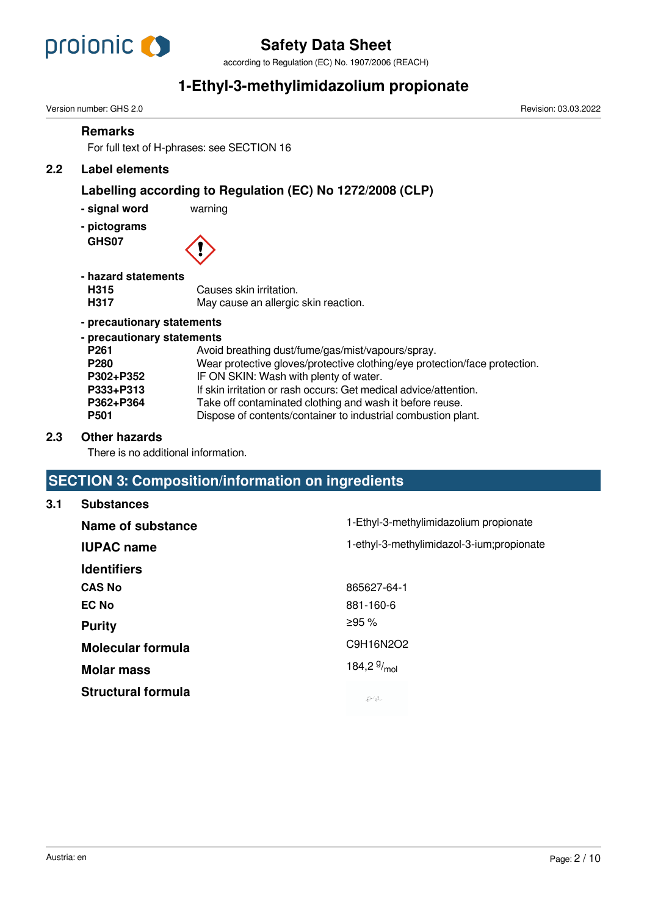

according to Regulation (EC) No. 1907/2006 (REACH)

# **1-Ethyl-3-methylimidazolium propionate**

|     | Version number: GHS 2.0                                                                                                       | Revision: 03.03.2022                                                                                                                                                                                                                                                                                                                                                       |  |
|-----|-------------------------------------------------------------------------------------------------------------------------------|----------------------------------------------------------------------------------------------------------------------------------------------------------------------------------------------------------------------------------------------------------------------------------------------------------------------------------------------------------------------------|--|
|     | <b>Remarks</b>                                                                                                                | For full text of H-phrases: see SECTION 16                                                                                                                                                                                                                                                                                                                                 |  |
| 2.2 | <b>Label elements</b>                                                                                                         |                                                                                                                                                                                                                                                                                                                                                                            |  |
|     | - signal word<br>- pictograms<br>GHS07                                                                                        | Labelling according to Regulation (EC) No 1272/2008 (CLP)<br>warning                                                                                                                                                                                                                                                                                                       |  |
|     | - hazard statements<br>H315<br>H317                                                                                           | Causes skin irritation.<br>May cause an allergic skin reaction.                                                                                                                                                                                                                                                                                                            |  |
|     | - precautionary statements                                                                                                    |                                                                                                                                                                                                                                                                                                                                                                            |  |
|     | - precautionary statements<br>P <sub>261</sub><br>P <sub>280</sub><br>P302+P352<br>P333+P313<br>P362+P364<br>P <sub>501</sub> | Avoid breathing dust/fume/gas/mist/vapours/spray.<br>Wear protective gloves/protective clothing/eye protection/face protection.<br>IF ON SKIN: Wash with plenty of water.<br>If skin irritation or rash occurs: Get medical advice/attention.<br>Take off contaminated clothing and wash it before reuse.<br>Dispose of contents/container to industrial combustion plant. |  |
| 2.3 | <b>Other hazards</b><br>There is no additional information.                                                                   |                                                                                                                                                                                                                                                                                                                                                                            |  |
|     |                                                                                                                               | <b>SECTION 3: Composition/information on ingredients</b>                                                                                                                                                                                                                                                                                                                   |  |
| 3.1 | <b>Substances</b>                                                                                                             |                                                                                                                                                                                                                                                                                                                                                                            |  |
|     | Name of substance                                                                                                             | 1-Ethyl-3-methylimidazolium propionate                                                                                                                                                                                                                                                                                                                                     |  |

| Name of substance         | <u>1-Curyi-3-metriyilmiyaz olunu propionate</u> |
|---------------------------|-------------------------------------------------|
| <b>IUPAC name</b>         | 1-ethyl-3-methylimidazol-3-ium;propionate       |
| <b>Identifiers</b>        |                                                 |
| <b>CAS No</b>             | 865627-64-1                                     |
| <b>EC No</b>              | 881-160-6                                       |
| <b>Purity</b>             | ≥95%                                            |
| <b>Molecular formula</b>  | C9H16N2O2                                       |
| <b>Molar mass</b>         | 184,2 $9/_{mol}$                                |
| <b>Structural formula</b> | やま                                              |
|                           |                                                 |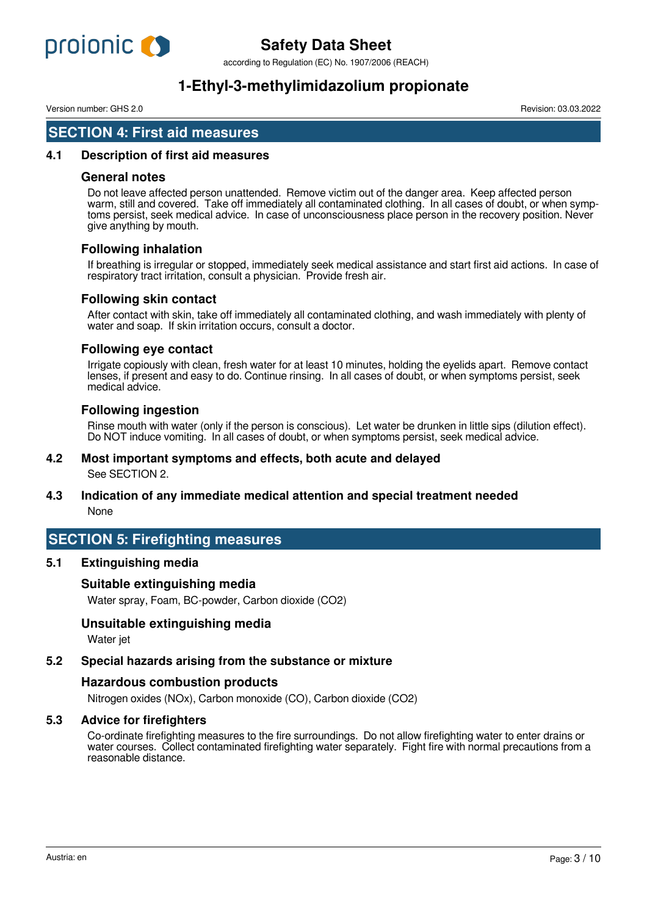

according to Regulation (EC) No. 1907/2006 (REACH)

# **1-Ethyl-3-methylimidazolium propionate**

Version number: GHS 2.0 Revision: 03.03.2022

## **SECTION 4: First aid measures**

## **4.1 Description of first aid measures**

## **General notes**

Do not leave affected person unattended. Remove victim out of the danger area. Keep affected person warm, still and covered. Take off immediately all contaminated clothing. In all cases of doubt, or when symptoms persist, seek medical advice. In case of unconsciousness place person in the recovery position. Never give anything by mouth.

## **Following inhalation**

If breathing is irregular or stopped, immediately seek medical assistance and start first aid actions. In case of respiratory tract irritation, consult a physician. Provide fresh air.

## **Following skin contact**

After contact with skin, take off immediately all contaminated clothing, and wash immediately with plenty of water and soap. If skin irritation occurs, consult a doctor.

## **Following eye contact**

Irrigate copiously with clean, fresh water for at least 10 minutes, holding the eyelids apart. Remove contact lenses, if present and easy to do. Continue rinsing. In all cases of doubt, or when symptoms persist, seek medical advice.

## **Following ingestion**

Rinse mouth with water (only if the person is conscious). Let water be drunken in little sips (dilution effect). Do NOT induce vomiting. In all cases of doubt, or when symptoms persist, seek medical advice.

## **4.2 Most important symptoms and effects, both acute and delayed**

See SECTION 2.

## **4.3 Indication of any immediate medical attention and special treatment needed** None

## **SECTION 5: Firefighting measures**

## **5.1 Extinguishing media**

## **Suitable extinguishing media**

Water spray, Foam, BC-powder, Carbon dioxide (CO2)

## **Unsuitable extinguishing media**

Water jet

## **5.2 Special hazards arising from the substance or mixture**

## **Hazardous combustion products**

Nitrogen oxides (NOx), Carbon monoxide (CO), Carbon dioxide (CO2)

## **5.3 Advice for firefighters**

Co-ordinate firefighting measures to the fire surroundings. Do not allow firefighting water to enter drains or water courses. Collect contaminated firefighting water separately. Fight fire with normal precautions from a reasonable distance.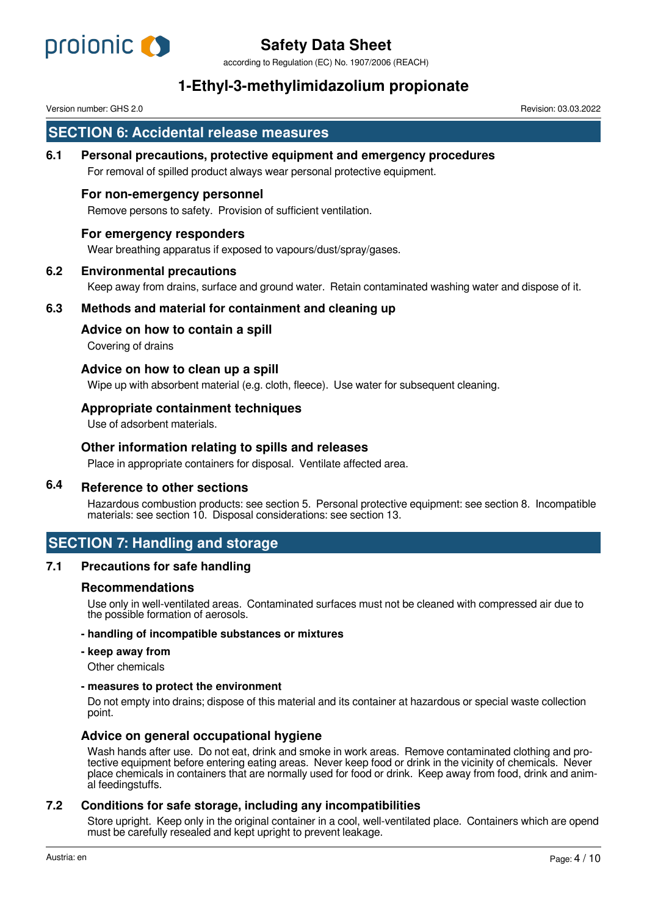

according to Regulation (EC) No. 1907/2006 (REACH)

# **1-Ethyl-3-methylimidazolium propionate**

Version number: GHS 2.0 Revision: 03.03.2022

## **SECTION 6: Accidental release measures**

**6.1 Personal precautions, protective equipment and emergency procedures**

For removal of spilled product always wear personal protective equipment.

#### **For non-emergency personnel**

Remove persons to safety. Provision of sufficient ventilation.

#### **For emergency responders**

Wear breathing apparatus if exposed to vapours/dust/spray/gases.

#### **6.2 Environmental precautions**

Keep away from drains, surface and ground water. Retain contaminated washing water and dispose of it.

## **6.3 Methods and material for containment and cleaning up**

#### **Advice on how to contain a spill**

Covering of drains

#### **Advice on how to clean up a spill**

Wipe up with absorbent material (e.g. cloth, fleece). Use water for subsequent cleaning.

#### **Appropriate containment techniques**

Use of adsorbent materials.

#### **Other information relating to spills and releases**

Place in appropriate containers for disposal. Ventilate affected area.

## **6.4 Reference to other sections**

Hazardous combustion products: see section 5. Personal protective equipment: see section 8. Incompatible materials: see section 10. Disposal considerations: see section 13.

## **SECTION 7: Handling and storage**

## **7.1 Precautions for safe handling**

#### **Recommendations**

Use only in well-ventilated areas. Contaminated surfaces must not be cleaned with compressed air due to the possible formation of aerosols.

#### **- handling of incompatible substances or mixtures**

**- keep away from**

Other chemicals

#### **- measures to protect the environment**

Do not empty into drains; dispose of this material and its container at hazardous or special waste collection point.

#### **Advice on general occupational hygiene**

Wash hands after use. Do not eat, drink and smoke in work areas. Remove contaminated clothing and protective equipment before entering eating areas. Never keep food or drink in the vicinity of chemicals. Never place chemicals in containers that are normally used for food or drink. Keep away from food, drink and animal feedingstuffs.

## **7.2 Conditions for safe storage, including any incompatibilities**

Store upright. Keep only in the original container in a cool, well-ventilated place. Containers which are opend must be carefully resealed and kept upright to prevent leakage.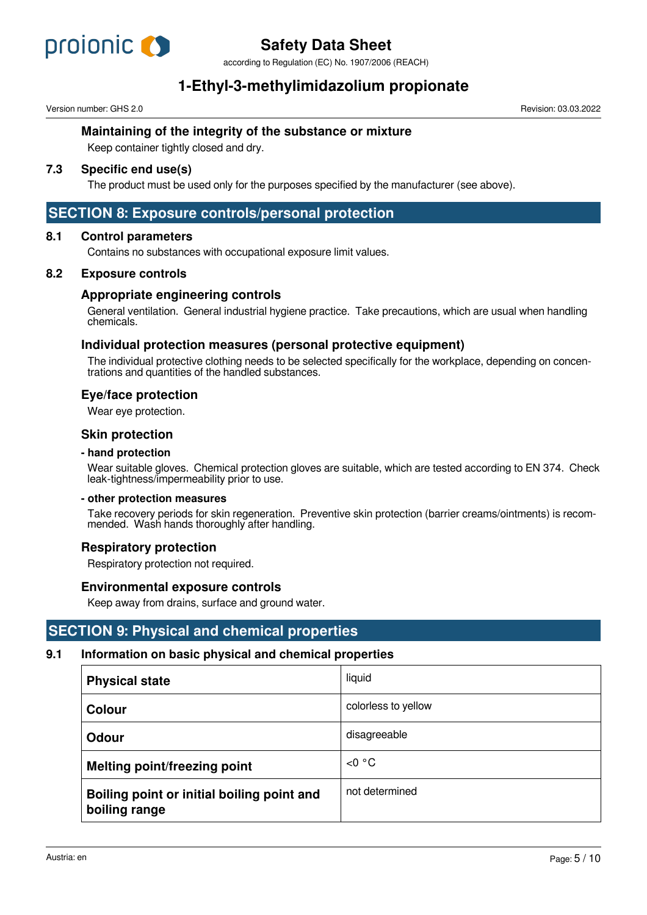

according to Regulation (EC) No. 1907/2006 (REACH)

# **1-Ethyl-3-methylimidazolium propionate**

Version number: GHS 2.0 Revision: 03.03.2022

## **Maintaining of the integrity of the substance or mixture**

Keep container tightly closed and dry.

## **7.3 Specific end use(s)**

The product must be used only for the purposes specified by the manufacturer (see above).

## **SECTION 8: Exposure controls/personal protection**

## **8.1 Control parameters**

Contains no substances with occupational exposure limit values.

## **8.2 Exposure controls**

## **Appropriate engineering controls**

General ventilation. General industrial hygiene practice. Take precautions, which are usual when handling chemicals.

## **Individual protection measures (personal protective equipment)**

The individual protective clothing needs to be selected specifically for the workplace, depending on concentrations and quantities of the handled substances.

## **Eye/face protection**

Wear eye protection.

## **Skin protection**

#### **- hand protection**

Wear suitable gloves. Chemical protection gloves are suitable, which are tested according to EN 374. Check leak-tightness/impermeability prior to use.

#### **- other protection measures**

Take recovery periods for skin regeneration. Preventive skin protection (barrier creams/ointments) is recommended. Wash hands thoroughly after handling.

## **Respiratory protection**

Respiratory protection not required.

## **Environmental exposure controls**

Keep away from drains, surface and ground water.

## **SECTION 9: Physical and chemical properties**

## **9.1 Information on basic physical and chemical properties**

| <b>Physical state</b>                                       | liquid              |
|-------------------------------------------------------------|---------------------|
| <b>Colour</b>                                               | colorless to yellow |
| <b>Odour</b>                                                | disagreeable        |
| <b>Melting point/freezing point</b>                         | < 0 °C              |
| Boiling point or initial boiling point and<br>boiling range | not determined      |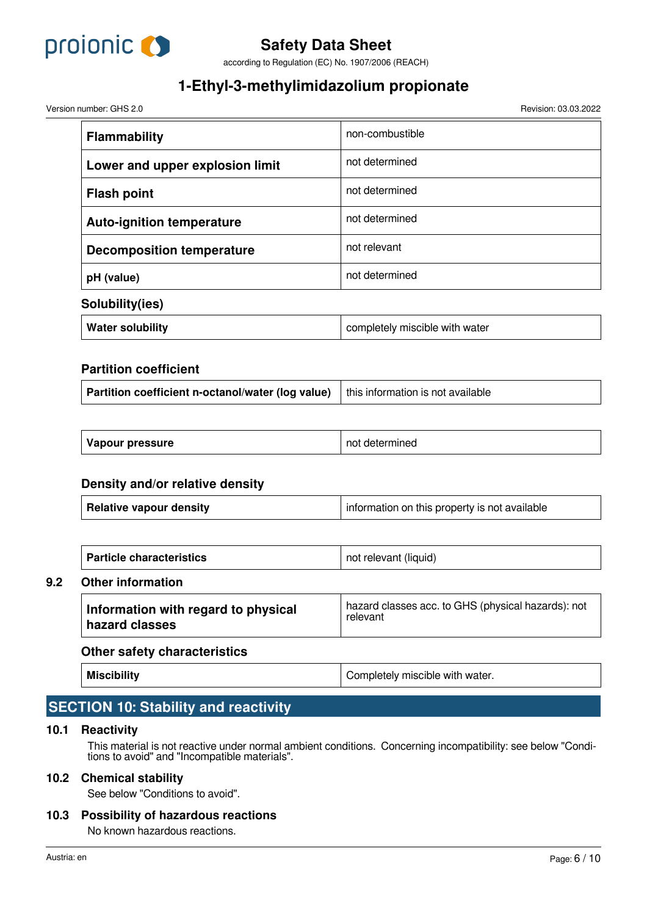

according to Regulation (EC) No. 1907/2006 (REACH)

# **1-Ethyl-3-methylimidazolium propionate**

Version number: GHS 2.0 Revision: 03.03.2022

| <b>Flammability</b>              | non-combustible                |  |
|----------------------------------|--------------------------------|--|
| Lower and upper explosion limit  | not determined                 |  |
| <b>Flash point</b>               | not determined                 |  |
| <b>Auto-ignition temperature</b> | not determined                 |  |
| <b>Decomposition temperature</b> | not relevant                   |  |
| pH (value)                       | not determined                 |  |
| Solubility(ies)                  |                                |  |
| <b>Water solubility</b>          | completely miscible with water |  |

## **Partition coefficient**

| Vapour pressure | not determined |
|-----------------|----------------|
|-----------------|----------------|

## **Density and/or relative density**

| <b>Particle characteristics</b> | not relevant (liquid) |  |
|---------------------------------|-----------------------|--|
| <b>Other information</b>        |                       |  |

## **Information with regard to physical hazard classes** hazard classes acc. to GHS (physical hazards): not relevant

## **Other safety characteristics**

**Miscibility Miscibility Completely** miscible with water.

## **SECTION 10: Stability and reactivity**

## **10.1 Reactivity**

**9.2 Other information**

This material is not reactive under normal ambient conditions. Concerning incompatibility: see below "Conditions to avoid" and "Incompatible materials".

## **10.2 Chemical stability**

See below "Conditions to avoid".

## **10.3 Possibility of hazardous reactions**

No known hazardous reactions.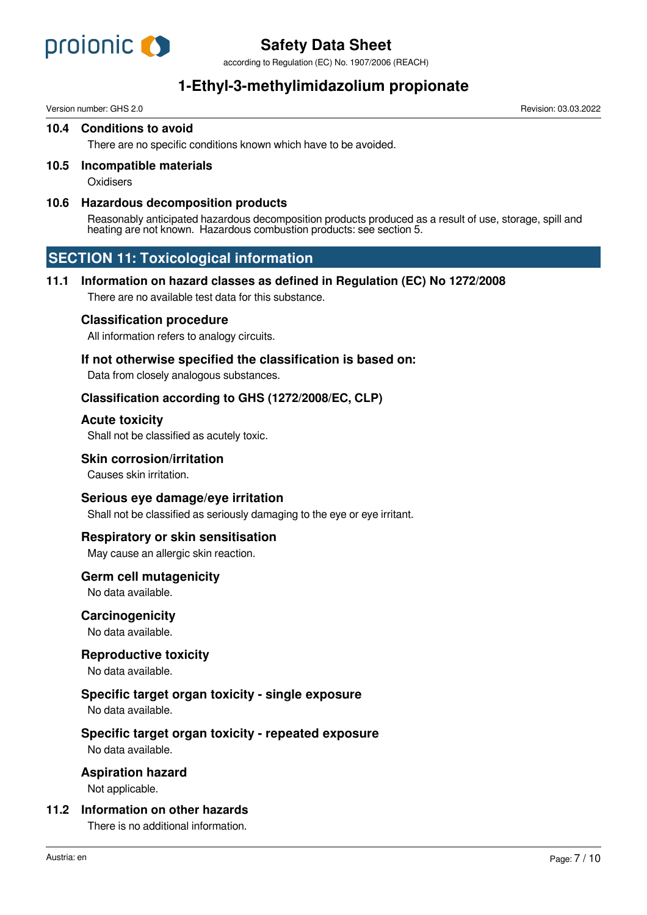

according to Regulation (EC) No. 1907/2006 (REACH)

# **1-Ethyl-3-methylimidazolium propionate**

Version number: GHS 2.0 Revision: 03.03.2022

#### **10.4 Conditions to avoid**

There are no specific conditions known which have to be avoided.

## **10.5 Incompatible materials**

**Oxidisers** 

## **10.6 Hazardous decomposition products**

Reasonably anticipated hazardous decomposition products produced as a result of use, storage, spill and heating are not known. Hazardous combustion products: see section 5.

## **SECTION 11: Toxicological information**

## **11.1 Information on hazard classes as defined in Regulation (EC) No 1272/2008**

There are no available test data for this substance.

## **Classification procedure**

All information refers to analogy circuits.

## **If not otherwise specified the classification is based on:**

Data from closely analogous substances.

## **Classification according to GHS (1272/2008/EC, CLP)**

#### **Acute toxicity**

Shall not be classified as acutely toxic.

## **Skin corrosion/irritation**

Causes skin irritation.

## **Serious eye damage/eye irritation**

Shall not be classified as seriously damaging to the eye or eye irritant.

## **Respiratory or skin sensitisation**

May cause an allergic skin reaction.

## **Germ cell mutagenicity**

No data available.

## **Carcinogenicity**

No data available.

## **Reproductive toxicity**

No data available.

## **Specific target organ toxicity - single exposure**

No data available.

## **Specific target organ toxicity - repeated exposure**

No data available.

## **Aspiration hazard**

Not applicable.

## **11.2 Information on other hazards**

There is no additional information.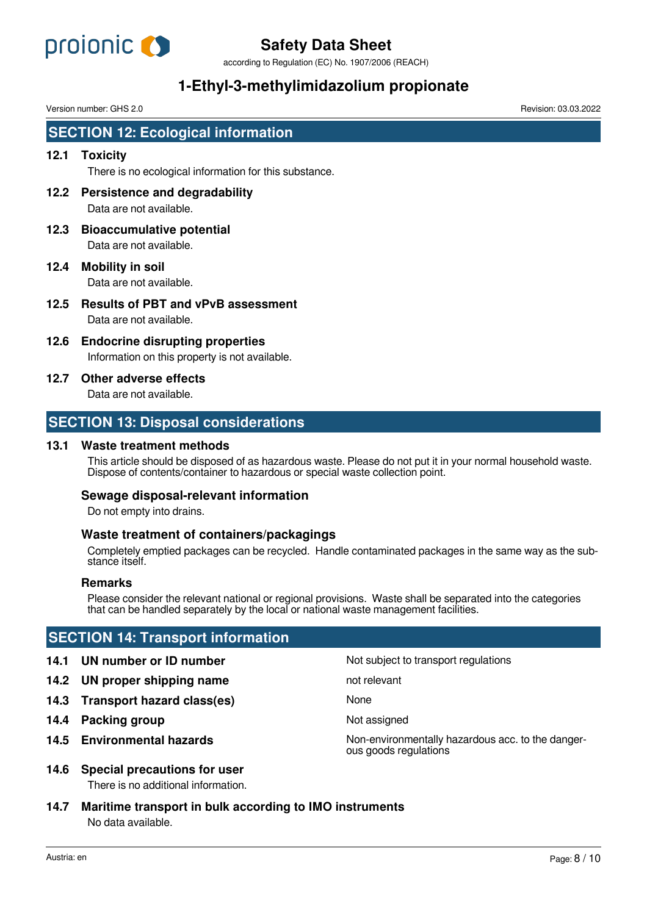

according to Regulation (EC) No. 1907/2006 (REACH)

# **1-Ethyl-3-methylimidazolium propionate**

Version number: GHS 2.0 Revision: 03.03.2022

## **SECTION 12: Ecological information**

## **12.1 Toxicity**

There is no ecological information for this substance.

- **12.2 Persistence and degradability** Data are not available.
- **12.3 Bioaccumulative potential** Data are not available.
- **12.4 Mobility in soil** Data are not available.
- **12.5 Results of PBT and vPvB assessment** Data are not available.
- **12.6 Endocrine disrupting properties** Information on this property is not available.
- **12.7 Other adverse effects**

Data are not available.

## **SECTION 13: Disposal considerations**

## **13.1 Waste treatment methods**

This article should be disposed of as hazardous waste. Please do not put it in your normal household waste. Dispose of contents/container to hazardous or special waste collection point.

## **Sewage disposal-relevant information**

Do not empty into drains.

## **Waste treatment of containers/packagings**

Completely emptied packages can be recycled. Handle contaminated packages in the same way as the substance itself.

#### **Remarks**

Please consider the relevant national or regional provisions. Waste shall be separated into the categories that can be handled separately by the local or national waste management facilities.

## **SECTION 14: Transport information**

- **14.1 UN number or ID number 14.1 UN number** Not subject to transport regulations
- **14.2 UN proper shipping name** not relevant
- **14.3 Transport hazard class(es)** None
- **14.4 Packing group Not assigned** Not assigned
- 

**14.5 Environmental hazards Non-environmentally hazardous acc. to the danger**ous goods regulations

**14.6 Special precautions for user**

There is no additional information.

**14.7 Maritime transport in bulk according to IMO instruments** No data available.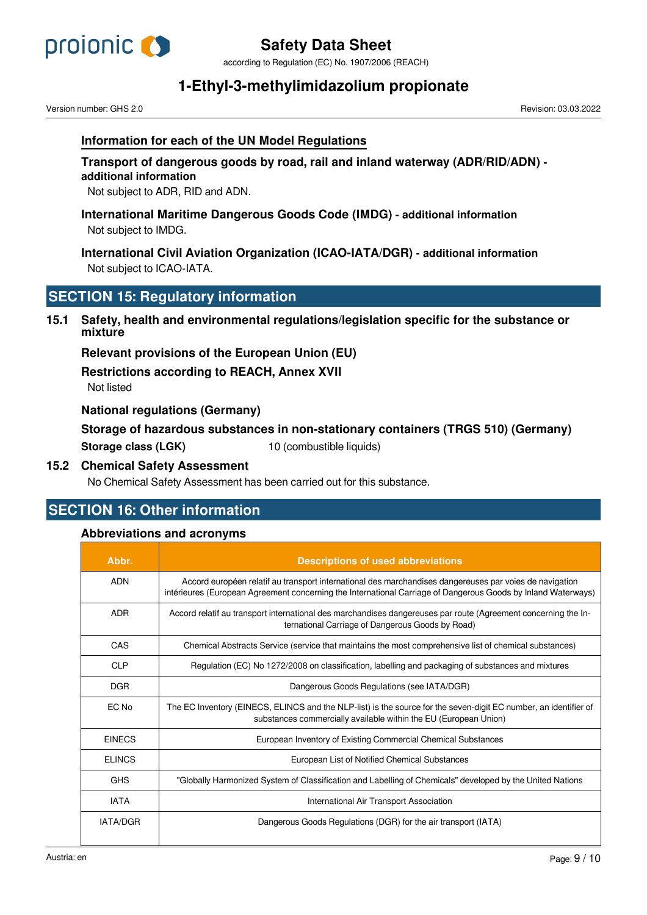

according to Regulation (EC) No. 1907/2006 (REACH)

# **1-Ethyl-3-methylimidazolium propionate**

Version number: GHS 2.0 Revision: 03.03.2022

## **Information for each of the UN Model Regulations**

## **Transport of dangerous goods by road, rail and inland waterway (ADR/RID/ADN) additional information**

Not subject to ADR, RID and ADN.

**International Maritime Dangerous Goods Code (IMDG) - additional information** Not subject to IMDG.

**International Civil Aviation Organization (ICAO-IATA/DGR) - additional information** Not subject to ICAO-IATA.

## **SECTION 15: Regulatory information**

**15.1 Safety, health and environmental regulations/legislation specific for the substance or mixture**

**Relevant provisions of the European Union (EU)**

**Restrictions according to REACH, Annex XVII**

Not listed

## **National regulations (Germany)**

| Storage of hazardous substances in non-stationary containers (TRGS 510) (Germany) |                          |  |  |
|-----------------------------------------------------------------------------------|--------------------------|--|--|
| Storage class (LGK)                                                               | 10 (combustible liquids) |  |  |

## **15.2 Chemical Safety Assessment**

No Chemical Safety Assessment has been carried out for this substance.

## **SECTION 16: Other information**

## **Abbreviations and acronyms**

| Abbr.         | <b>Descriptions of used abbreviations</b>                                                                                                                                                                                |
|---------------|--------------------------------------------------------------------------------------------------------------------------------------------------------------------------------------------------------------------------|
| <b>ADN</b>    | Accord européen relatif au transport international des marchandises dangereuses par voies de navigation<br>intérieures (European Agreement concerning the International Carriage of Dangerous Goods by Inland Waterways) |
| <b>ADR</b>    | Accord relatif au transport international des marchandises dangereuses par route (Agreement concerning the In-<br>ternational Carriage of Dangerous Goods by Road)                                                       |
| CAS           | Chemical Abstracts Service (service that maintains the most comprehensive list of chemical substances)                                                                                                                   |
| <b>CLP</b>    | Regulation (EC) No 1272/2008 on classification, labelling and packaging of substances and mixtures                                                                                                                       |
| <b>DGR</b>    | Dangerous Goods Regulations (see IATA/DGR)                                                                                                                                                                               |
| EC No         | The EC Inventory (EINECS, ELINCS and the NLP-list) is the source for the seven-digit EC number, an identifier of<br>substances commercially available within the EU (European Union)                                     |
| <b>EINECS</b> | European Inventory of Existing Commercial Chemical Substances                                                                                                                                                            |
| <b>ELINCS</b> | European List of Notified Chemical Substances                                                                                                                                                                            |
| <b>GHS</b>    | "Globally Harmonized System of Classification and Labelling of Chemicals" developed by the United Nations                                                                                                                |
| <b>IATA</b>   | International Air Transport Association                                                                                                                                                                                  |
| IATA/DGR      | Dangerous Goods Regulations (DGR) for the air transport (IATA)                                                                                                                                                           |